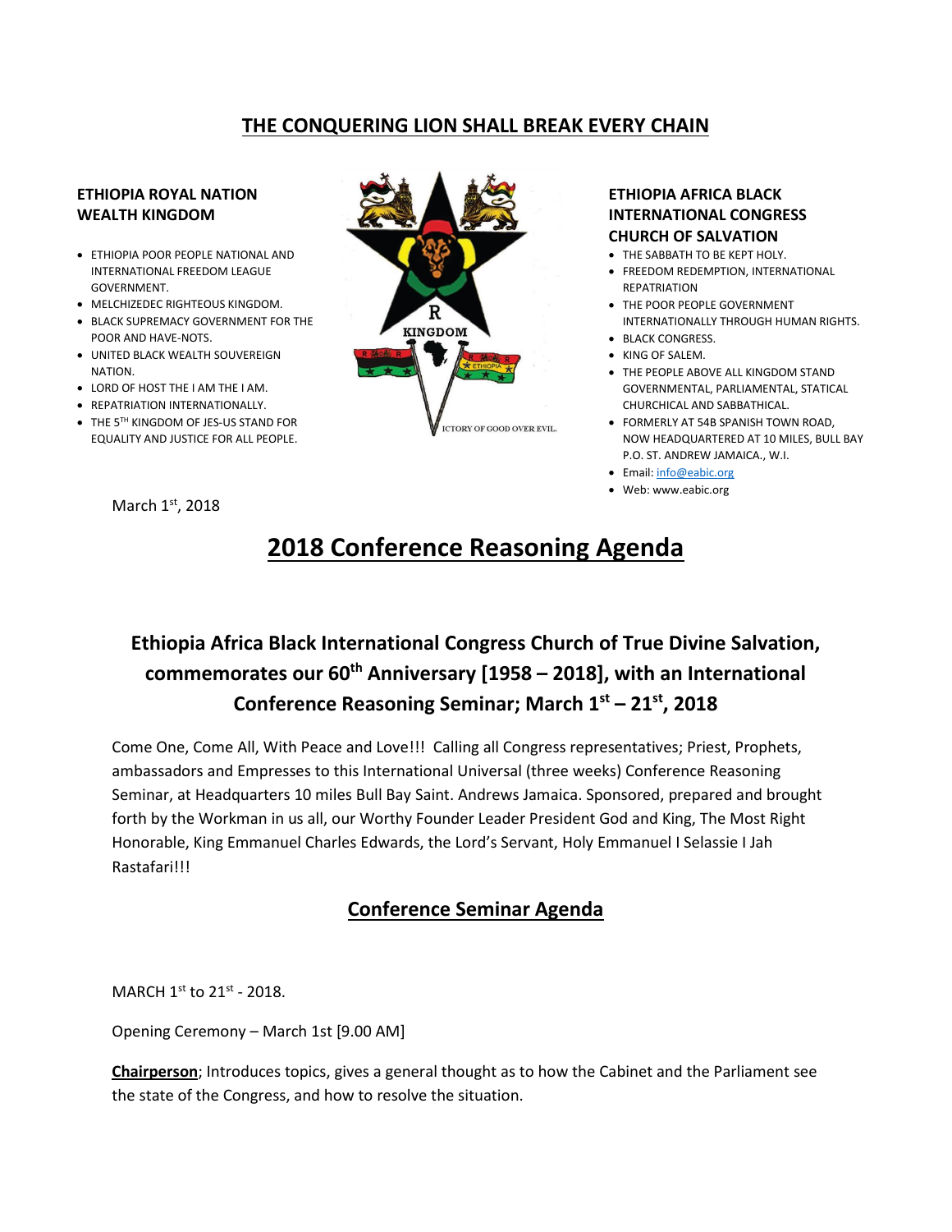#### **THE CONQUERING LION SHALL BREAK EVERY CHAIN**

#### **ETHIOPIA ROYAL NATION WEALTH KINGDOM**

- ETHIOPIA POOR PEOPLE NATIONAL AND INTERNATIONAL FREEDOM LEAGUE GOVERNMENT.
- MELCHIZEDEC RIGHTEOUS KINGDOM.
- BLACK SUPREMACY GOVERNMENT FOR THE POOR AND HAVE-NOTS.
- UNITED BLACK WEALTH SOUVEREIGN NATION.
- LORD OF HOST THE I AM THE I AM.
- REPATRIATION INTERNATIONALLY.
- THE 5<sup>TH</sup> KINGDOM OF JES-US STAND FOR EQUALITY AND JUSTICE FOR ALL PEOPLE.

March 1st, 2018

# **KINGDOM ICTORY OF GOOD OVER EVIL.**

#### **ETHIOPIA AFRICA BLACK INTERNATIONAL CONGRESS CHURCH OF SALVATION**

- THE SABBATH TO BE KEPT HOLY.
- FREEDOM REDEMPTION, INTERNATIONAL REPATRIATION
- THE POOR PEOPLE GOVERNMENT INTERNATIONALLY THROUGH HUMAN RIGHTS.
- BLACK CONGRESS
- KING OF SALEM.
- THE PEOPLE ABOVE ALL KINGDOM STAND GOVERNMENTAL, PARLIAMENTAL, STATICAL CHURCHICAL AND SABBATHICAL.
- FORMERLY AT 54B SPANISH TOWN ROAD, NOW HEADQUARTERED AT 10 MILES, BULL BAY P.O. ST. ANDREW JAMAICA., W.I.
- Email[: info@eabic.org](mailto:info@eabic.org)
- Web: www.eabic.org

## **2018 Conference Reasoning Agenda**

### **Ethiopia Africa Black International Congress Church of True Divine Salvation, commemorates our 60th Anniversary [1958 – 2018], with an International Conference Reasoning Seminar; March 1st – 21st , 2018**

Come One, Come All, With Peace and Love!!! Calling all Congress representatives; Priest, Prophets, ambassadors and Empresses to this International Universal (three weeks) Conference Reasoning Seminar, at Headquarters 10 miles Bull Bay Saint. Andrews Jamaica. Sponsored, prepared and brought forth by the Workman in us all, our Worthy Founder Leader President God and King, The Most Right Honorable, King Emmanuel Charles Edwards, the Lord's Servant, Holy Emmanuel I Selassie I Jah Rastafari!!!

#### **Conference Seminar Agenda**

MARCH  $1^{\text{st}}$  to  $21^{\text{st}}$  - 2018.

Opening Ceremony – March 1st [9.00 AM]

**Chairperson**; Introduces topics, gives a general thought as to how the Cabinet and the Parliament see the state of the Congress, and how to resolve the situation.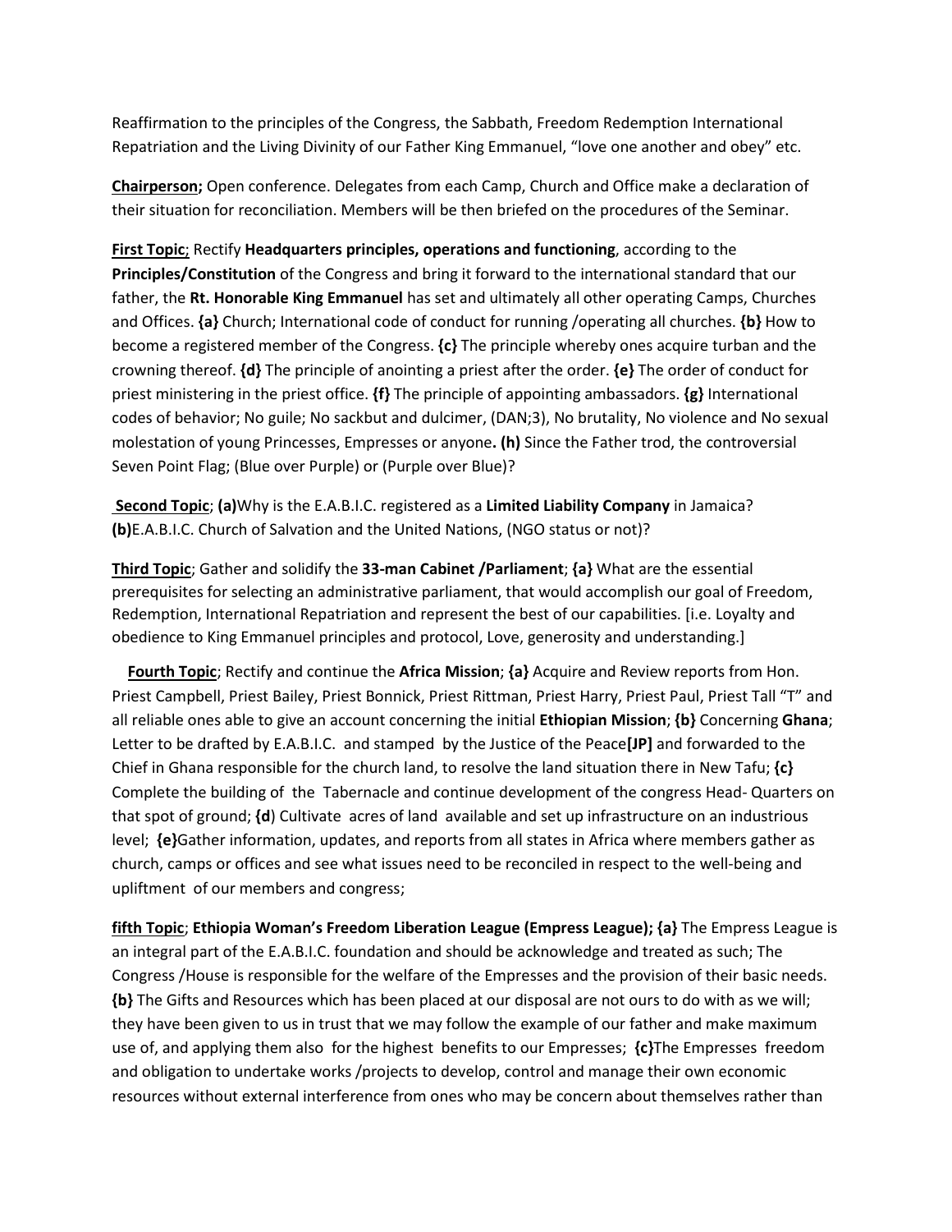Reaffirmation to the principles of the Congress, the Sabbath, Freedom Redemption International Repatriation and the Living Divinity of our Father King Emmanuel, "love one another and obey" etc.

**Chairperson;** Open conference. Delegates from each Camp, Church and Office make a declaration of their situation for reconciliation. Members will be then briefed on the procedures of the Seminar.

**First Topic**; Rectify **Headquarters principles, operations and functioning**, according to the **Principles/Constitution** of the Congress and bring it forward to the international standard that our father, the **Rt. Honorable King Emmanuel** has set and ultimately all other operating Camps, Churches and Offices. **{a}** Church; International code of conduct for running /operating all churches. **{b}** How to become a registered member of the Congress. **{c}** The principle whereby ones acquire turban and the crowning thereof. **{d}** The principle of anointing a priest after the order. **{e}** The order of conduct for priest ministering in the priest office. **{f}** The principle of appointing ambassadors. **{g}** International codes of behavior; No guile; No sackbut and dulcimer, (DAN;3), No brutality, No violence and No sexual molestation of young Princesses, Empresses or anyone**. (h)** Since the Father trod, the controversial Seven Point Flag; (Blue over Purple) or (Purple over Blue)?

**Second Topic**; **(a)**Why is the E.A.B.I.C. registered as a **Limited Liability Company** in Jamaica? **(b)**E.A.B.I.C. Church of Salvation and the United Nations, (NGO status or not)?

**Third Topic**; Gather and solidify the **33-man Cabinet /Parliament**; **{a}** What are the essential prerequisites for selecting an administrative parliament, that would accomplish our goal of Freedom, Redemption, International Repatriation and represent the best of our capabilities. [i.e. Loyalty and obedience to King Emmanuel principles and protocol, Love, generosity and understanding.]

 **Fourth Topic**; Rectify and continue the **Africa Mission**; **{a}** Acquire and Review reports from Hon. Priest Campbell, Priest Bailey, Priest Bonnick, Priest Rittman, Priest Harry, Priest Paul, Priest Tall "T" and all reliable ones able to give an account concerning the initial **Ethiopian Mission**; **{b}** Concerning **Ghana**; Letter to be drafted by E.A.B.I.C. and stamped by the Justice of the Peace**[JP]** and forwarded to the Chief in Ghana responsible for the church land, to resolve the land situation there in New Tafu; **{c}** Complete the building of the Tabernacle and continue development of the congress Head- Quarters on that spot of ground; **{d**) Cultivate acres of land available and set up infrastructure on an industrious level; **{e}**Gather information, updates, and reports from all states in Africa where members gather as church, camps or offices and see what issues need to be reconciled in respect to the well-being and upliftment of our members and congress;

**fifth Topic**; **Ethiopia Woman's Freedom Liberation League (Empress League); {a}** The Empress League is an integral part of the E.A.B.I.C. foundation and should be acknowledge and treated as such; The Congress /House is responsible for the welfare of the Empresses and the provision of their basic needs. **{b}** The Gifts and Resources which has been placed at our disposal are not ours to do with as we will; they have been given to us in trust that we may follow the example of our father and make maximum use of, and applying them also for the highest benefits to our Empresses; **{c}**The Empresses freedom and obligation to undertake works /projects to develop, control and manage their own economic resources without external interference from ones who may be concern about themselves rather than